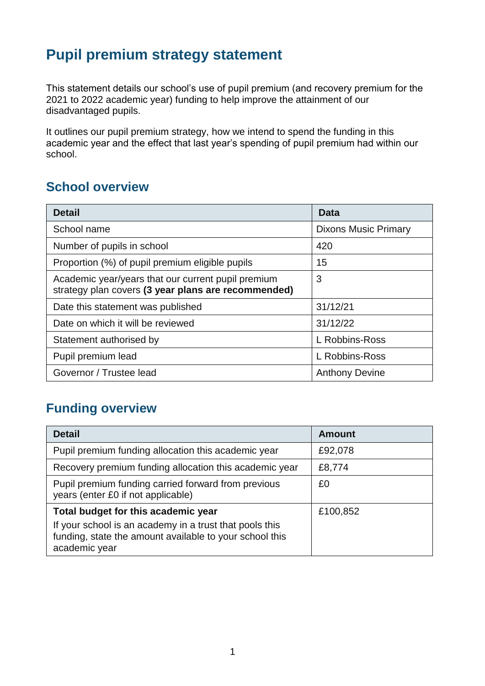# **Pupil premium strategy statement**

This statement details our school's use of pupil premium (and recovery premium for the 2021 to 2022 academic year) funding to help improve the attainment of our disadvantaged pupils.

It outlines our pupil premium strategy, how we intend to spend the funding in this academic year and the effect that last year's spending of pupil premium had within our school.

## **School overview**

| <b>Detail</b>                                                                                             | Data                        |
|-----------------------------------------------------------------------------------------------------------|-----------------------------|
| School name                                                                                               | <b>Dixons Music Primary</b> |
| Number of pupils in school                                                                                | 420                         |
| Proportion (%) of pupil premium eligible pupils                                                           | 15                          |
| Academic year/years that our current pupil premium<br>strategy plan covers (3 year plans are recommended) | 3                           |
| Date this statement was published                                                                         | 31/12/21                    |
| Date on which it will be reviewed                                                                         | 31/12/22                    |
| Statement authorised by                                                                                   | L Robbins-Ross              |
| Pupil premium lead                                                                                        | L Robbins-Ross              |
| Governor / Trustee lead                                                                                   | <b>Anthony Devine</b>       |

## **Funding overview**

| <b>Detail</b>                                                                                                                       | <b>Amount</b> |
|-------------------------------------------------------------------------------------------------------------------------------------|---------------|
| Pupil premium funding allocation this academic year                                                                                 | £92,078       |
| Recovery premium funding allocation this academic year                                                                              | £8,774        |
| Pupil premium funding carried forward from previous<br>years (enter £0 if not applicable)                                           | £0            |
| Total budget for this academic year                                                                                                 | £100,852      |
| If your school is an academy in a trust that pools this<br>funding, state the amount available to your school this<br>academic year |               |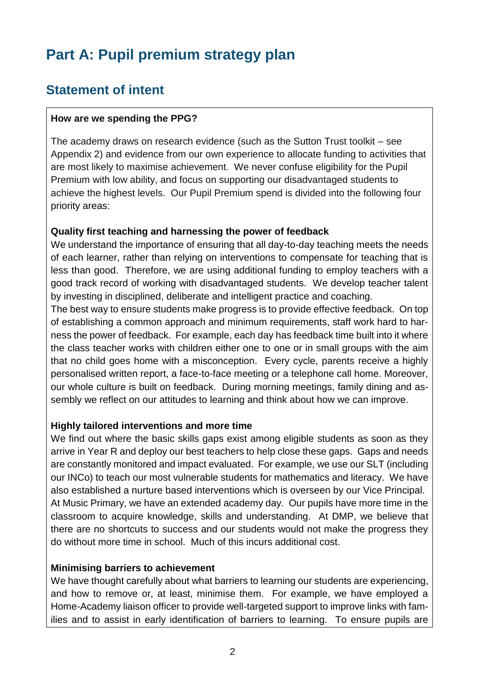# **Part A: Pupil premium strategy plan**

## **Statement of intent**

#### **How are we spending the PPG?**

The academy draws on research evidence (such as the Sutton Trust toolkit – see Appendix 2) and evidence from our own experience to allocate funding to activities that are most likely to maximise achievement. We never confuse eligibility for the Pupil Premium with low ability, and focus on supporting our disadvantaged students to achieve the highest levels. Our Pupil Premium spend is divided into the following four priority areas:

#### **Quality first teaching and harnessing the power of feedback**

We understand the importance of ensuring that all day-to-day teaching meets the needs of each learner, rather than relying on interventions to compensate for teaching that is less than good. Therefore, we are using additional funding to employ teachers with a good track record of working with disadvantaged students. We develop teacher talent by investing in disciplined, deliberate and intelligent practice and coaching.

The best way to ensure students make progress is to provide effective feedback. On top of establishing a common approach and minimum requirements, staff work hard to harness the power of feedback. For example, each day has feedback time built into it where the class teacher works with children either one to one or in small groups with the aim that no child goes home with a misconception. Every cycle, parents receive a highly personalised written report, a face-to-face meeting or a telephone call home. Moreover, our whole culture is built on feedback. During morning meetings, family dining and assembly we reflect on our attitudes to learning and think about how we can improve.

#### **Highly tailored interventions and more time**

We find out where the basic skills gaps exist among eligible students as soon as they arrive in Year R and deploy our best teachers to help close these gaps. Gaps and needs are constantly monitored and impact evaluated. For example, we use our SLT (including our INCo) to teach our most vulnerable students for mathematics and literacy. We have also established a nurture based interventions which is overseen by our Vice Principal. At Music Primary, we have an extended academy day. Our pupils have more time in the classroom to acquire knowledge, skills and understanding. At DMP, we believe that there are no shortcuts to success and our students would not make the progress they do without more time in school. Much of this incurs additional cost.

#### **Minimising barriers to achievement**

We have thought carefully about what barriers to learning our students are experiencing, and how to remove or, at least, minimise them. For example, we have employed a Home-Academy liaison officer to provide well-targeted support to improve links with families and to assist in early identification of barriers to learning. To ensure pupils are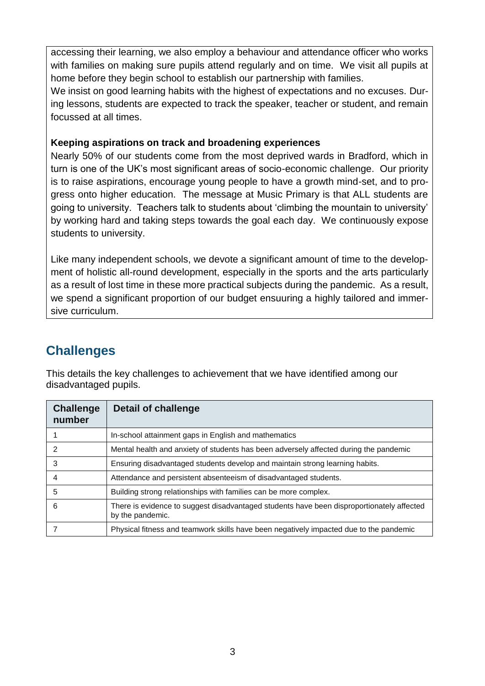accessing their learning, we also employ a behaviour and attendance officer who works with families on making sure pupils attend regularly and on time. We visit all pupils at home before they begin school to establish our partnership with families.

We insist on good learning habits with the highest of expectations and no excuses. During lessons, students are expected to track the speaker, teacher or student, and remain focussed at all times.

#### **Keeping aspirations on track and broadening experiences**

Nearly 50% of our students come from the most deprived wards in Bradford, which in turn is one of the UK's most significant areas of socio-economic challenge. Our priority is to raise aspirations, encourage young people to have a growth mind-set, and to progress onto higher education. The message at Music Primary is that ALL students are going to university. Teachers talk to students about 'climbing the mountain to university' by working hard and taking steps towards the goal each day. We continuously expose students to university.

Like many independent schools, we devote a significant amount of time to the development of holistic all-round development, especially in the sports and the arts particularly as a result of lost time in these more practical subjects during the pandemic. As a result, we spend a significant proportion of our budget ensuuring a highly tailored and immersive curriculum.

## **Challenges**

This details the key challenges to achievement that we have identified among our disadvantaged pupils.

| <b>Challenge</b><br>number | <b>Detail of challenge</b>                                                                                    |
|----------------------------|---------------------------------------------------------------------------------------------------------------|
|                            | In-school attainment gaps in English and mathematics                                                          |
| 2                          | Mental health and anxiety of students has been adversely affected during the pandemic                         |
| 3                          | Ensuring disadvantaged students develop and maintain strong learning habits.                                  |
| 4                          | Attendance and persistent absenteeism of disadvantaged students.                                              |
| 5                          | Building strong relationships with families can be more complex.                                              |
| 6                          | There is evidence to suggest disadvantaged students have been disproportionately affected<br>by the pandemic. |
|                            | Physical fitness and teamwork skills have been negatively impacted due to the pandemic                        |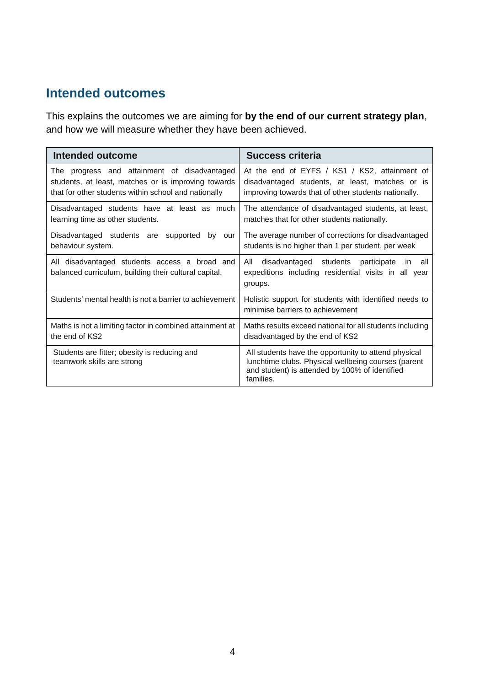### **Intended outcomes**

This explains the outcomes we are aiming for **by the end of our current strategy plan**, and how we will measure whether they have been achieved.

| <b>Intended outcome</b>                                                                                                                                     | <b>Success criteria</b>                                                                                                                                                    |
|-------------------------------------------------------------------------------------------------------------------------------------------------------------|----------------------------------------------------------------------------------------------------------------------------------------------------------------------------|
| The progress and attainment of disadvantaged<br>students, at least, matches or is improving towards<br>that for other students within school and nationally | At the end of EYFS / KS1 / KS2, attainment of<br>disadvantaged students, at least, matches or is<br>improving towards that of other students nationally.                   |
| Disadvantaged students have at least as much<br>learning time as other students.                                                                            | The attendance of disadvantaged students, at least,<br>matches that for other students nationally.                                                                         |
| Disadvantaged students are supported<br>bv<br>our<br>behaviour system.                                                                                      | The average number of corrections for disadvantaged<br>students is no higher than 1 per student, per week                                                                  |
| All disadvantaged students access a broad and<br>balanced curriculum, building their cultural capital.                                                      | All<br>disadvantaged students participate<br>all<br>in.<br>expeditions including residential visits in all year<br>groups.                                                 |
| Students' mental health is not a barrier to achievement                                                                                                     | Holistic support for students with identified needs to<br>minimise barriers to achievement                                                                                 |
| Maths is not a limiting factor in combined attainment at<br>the end of KS2                                                                                  | Maths results exceed national for all students including<br>disadvantaged by the end of KS2                                                                                |
| Students are fitter; obesity is reducing and<br>teamwork skills are strong                                                                                  | All students have the opportunity to attend physical<br>lunchtime clubs. Physical wellbeing courses (parent<br>and student) is attended by 100% of identified<br>families. |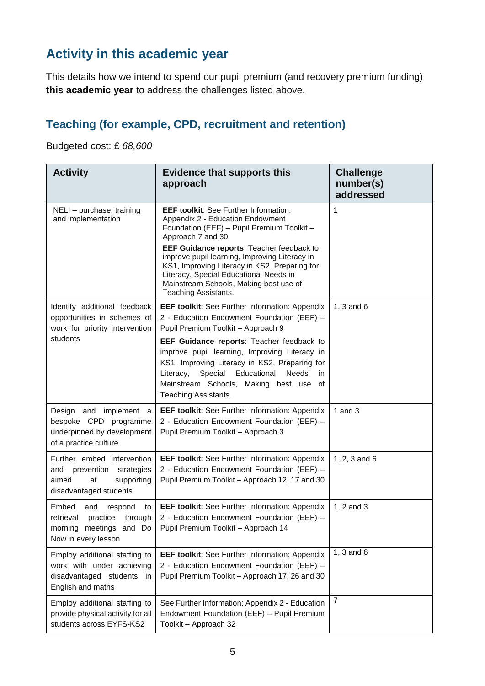## **Activity in this academic year**

This details how we intend to spend our pupil premium (and recovery premium funding) **this academic year** to address the challenges listed above.

## **Teaching (for example, CPD, recruitment and retention)**

Budgeted cost: £ *68,600*

| <b>Activity</b>                                                                                                                                                                                                                                               | <b>Evidence that supports this</b><br>approach                                                                                                                                                                                                              | <b>Challenge</b><br>number(s)<br>addressed |
|---------------------------------------------------------------------------------------------------------------------------------------------------------------------------------------------------------------------------------------------------------------|-------------------------------------------------------------------------------------------------------------------------------------------------------------------------------------------------------------------------------------------------------------|--------------------------------------------|
| NELI - purchase, training<br>and implementation                                                                                                                                                                                                               | <b>EEF toolkit:</b> See Further Information:<br>Appendix 2 - Education Endowment<br>Foundation (EEF) - Pupil Premium Toolkit -<br>Approach 7 and 30                                                                                                         | 1                                          |
|                                                                                                                                                                                                                                                               | EEF Guidance reports: Teacher feedback to<br>improve pupil learning, Improving Literacy in<br>KS1, Improving Literacy in KS2, Preparing for<br>Literacy, Special Educational Needs in<br>Mainstream Schools, Making best use of<br>Teaching Assistants.     |                                            |
| Identify additional feedback<br>opportunities in schemes of<br>work for priority intervention                                                                                                                                                                 | <b>EEF toolkit:</b> See Further Information: Appendix<br>2 - Education Endowment Foundation (EEF) -<br>Pupil Premium Toolkit - Approach 9                                                                                                                   | 1, $3$ and $6$                             |
| students                                                                                                                                                                                                                                                      | EEF Guidance reports: Teacher feedback to<br>improve pupil learning, Improving Literacy in<br>KS1, Improving Literacy in KS2, Preparing for<br>Literacy, Special Educational Needs<br>in.<br>Mainstream Schools, Making best use of<br>Teaching Assistants. |                                            |
| Design and implement a<br>bespoke CPD programme<br>underpinned by development<br>of a practice culture                                                                                                                                                        | <b>EEF toolkit:</b> See Further Information: Appendix<br>2 - Education Endowment Foundation (EEF) -<br>Pupil Premium Toolkit - Approach 3                                                                                                                   | 1 and $3$                                  |
| Further embed intervention<br>and prevention<br>strategies<br>aimed<br>supporting<br>at<br>disadvantaged students                                                                                                                                             | <b>EEF toolkit:</b> See Further Information: Appendix<br>2 - Education Endowment Foundation (EEF) -<br>Pupil Premium Toolkit - Approach 12, 17 and 30                                                                                                       | 1, 2, 3 and 6                              |
| Embed<br>and<br><b>EEF toolkit:</b> See Further Information: Appendix<br>respond<br>to<br>2 - Education Endowment Foundation (EEF) -<br>practice through<br>retrieval<br>morning meetings and Do   Pupil Premium Toolkit - Approach 14<br>Now in every lesson |                                                                                                                                                                                                                                                             | 1, 2 and 3                                 |
| Employ additional staffing to<br>work with under achieving<br>disadvantaged students in<br>English and maths                                                                                                                                                  | EEF toolkit: See Further Information: Appendix<br>2 - Education Endowment Foundation (EEF) -<br>Pupil Premium Toolkit - Approach 17, 26 and 30                                                                                                              | 1, $3$ and $6$                             |
| Employ additional staffing to<br>provide physical activity for all<br>students across EYFS-KS2                                                                                                                                                                | See Further Information: Appendix 2 - Education<br>Endowment Foundation (EEF) - Pupil Premium<br>Toolkit - Approach 32                                                                                                                                      | $\overline{7}$                             |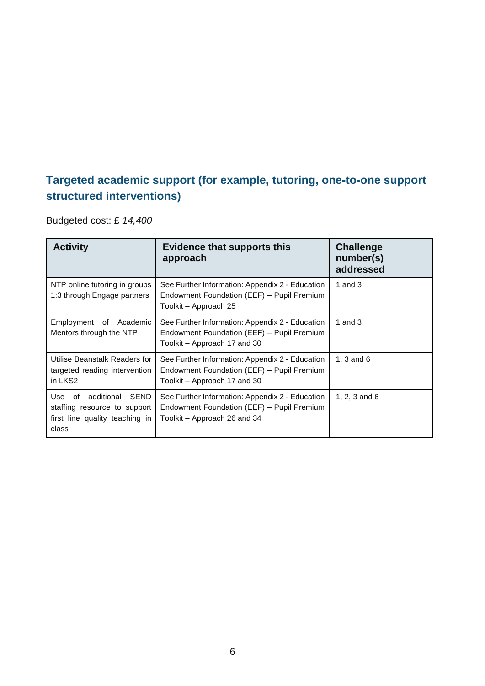### **Targeted academic support (for example, tutoring, one-to-one support structured interventions)**

Budgeted cost: £ *14,400*

| <b>Activity</b>                                                                                                                                                                                                                             | <b>Evidence that supports this</b><br>approach                                                                                | <b>Challenge</b><br>number(s)<br>addressed |
|---------------------------------------------------------------------------------------------------------------------------------------------------------------------------------------------------------------------------------------------|-------------------------------------------------------------------------------------------------------------------------------|--------------------------------------------|
| NTP online tutoring in groups<br>1:3 through Engage partners                                                                                                                                                                                | See Further Information: Appendix 2 - Education<br>Endowment Foundation (EEF) - Pupil Premium<br>Toolkit – Approach 25        | 1 and $3$                                  |
| Employment of Academic<br>Mentors through the NTP                                                                                                                                                                                           | See Further Information: Appendix 2 - Education<br>Endowment Foundation (EEF) - Pupil Premium<br>Toolkit – Approach 17 and 30 | 1 and $3$                                  |
| Utilise Beanstalk Readers for<br>targeted reading intervention<br>in LKS2                                                                                                                                                                   | See Further Information: Appendix 2 - Education<br>Endowment Foundation (EEF) - Pupil Premium<br>Toolkit – Approach 17 and 30 | 1, $3$ and $6$                             |
| additional<br>SEND<br>See Further Information: Appendix 2 - Education<br>Use<br>of<br>Endowment Foundation (EEF) - Pupil Premium<br>staffing resource to support<br>first line quality teaching in<br>Toolkit – Approach 26 and 34<br>class |                                                                                                                               | 1, 2, 3 and $6$                            |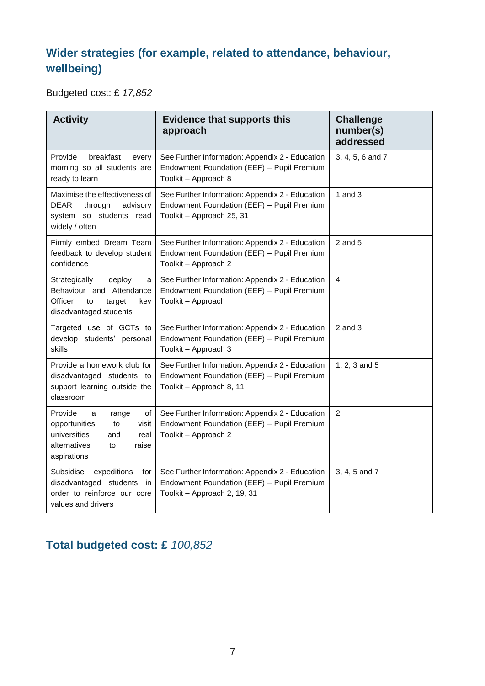## **Wider strategies (for example, related to attendance, behaviour, wellbeing)**

Budgeted cost: £ *17,852*

| <b>Activity</b>                                                                                                                          | <b>Evidence that supports this</b><br>approach                                                                                | <b>Challenge</b><br>number(s)<br>addressed |
|------------------------------------------------------------------------------------------------------------------------------------------|-------------------------------------------------------------------------------------------------------------------------------|--------------------------------------------|
| Provide<br>breakfast<br>every<br>morning so all students are<br>ready to learn                                                           | See Further Information: Appendix 2 - Education<br>Endowment Foundation (EEF) - Pupil Premium<br>Toolkit - Approach 8         | 3, 4, 5, 6 and 7                           |
| Maximise the effectiveness of<br>DEAR<br>through<br>advisory<br>system so students read<br>widely / often                                | See Further Information: Appendix 2 - Education<br>Endowment Foundation (EEF) - Pupil Premium<br>Toolkit - Approach 25, 31    | 1 and $3$                                  |
| Firmly embed Dream Team<br>feedback to develop student<br>confidence                                                                     | See Further Information: Appendix 2 - Education<br>Endowment Foundation (EEF) - Pupil Premium<br>Toolkit - Approach 2         | $2$ and $5$                                |
| Strategically<br>deploy<br>a<br>Behaviour and Attendance<br>Officer<br>to<br>target<br>key<br>disadvantaged students                     | See Further Information: Appendix 2 - Education<br>Endowment Foundation (EEF) - Pupil Premium<br>Toolkit - Approach           | 4                                          |
| Targeted use of GCTs to<br>develop students' personal<br>skills                                                                          | See Further Information: Appendix 2 - Education<br>Endowment Foundation (EEF) - Pupil Premium<br>Toolkit - Approach 3         | $2$ and $3$                                |
| Provide a homework club for<br>disadvantaged students to<br>support learning outside the<br>classroom                                    | See Further Information: Appendix 2 - Education<br>Endowment Foundation (EEF) - Pupil Premium<br>Toolkit - Approach 8, 11     | 1, 2, 3 and 5                              |
| Provide<br>οf<br>a<br>range<br>opportunities<br>visit<br>to<br>universities<br>and<br>real<br>alternatives<br>raise<br>to<br>aspirations | See Further Information: Appendix 2 - Education<br>Endowment Foundation (EEF) - Pupil Premium<br>Toolkit - Approach 2         | $\overline{2}$                             |
| Subsidise<br>expeditions<br>for<br>disadvantaged students<br>in<br>order to reinforce our core<br>values and drivers                     | See Further Information: Appendix 2 - Education<br>Endowment Foundation (EEF) - Pupil Premium<br>Toolkit - Approach 2, 19, 31 | 3, 4, 5 and 7                              |

## **Total budgeted cost: £** *100,852*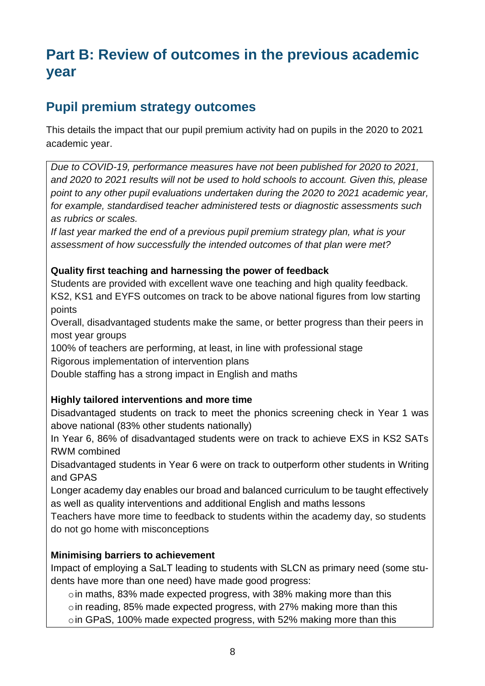# **Part B: Review of outcomes in the previous academic year**

### **Pupil premium strategy outcomes**

This details the impact that our pupil premium activity had on pupils in the 2020 to 2021 academic year.

*Due to COVID-19, performance measures have not been published for 2020 to 2021, and 2020 to 2021 results will not be used to hold schools to account. Given this, please point to any other pupil evaluations undertaken during the 2020 to 2021 academic year, for example, standardised teacher administered tests or diagnostic assessments such as rubrics or scales.*

*If last year marked the end of a previous pupil premium strategy plan, what is your assessment of how successfully the intended outcomes of that plan were met?* 

#### **Quality first teaching and harnessing the power of feedback**

Students are provided with excellent wave one teaching and high quality feedback. KS2, KS1 and EYFS outcomes on track to be above national figures from low starting points

Overall, disadvantaged students make the same, or better progress than their peers in most year groups

100% of teachers are performing, at least, in line with professional stage

Rigorous implementation of intervention plans

Double staffing has a strong impact in English and maths

#### **Highly tailored interventions and more time**

Disadvantaged students on track to meet the phonics screening check in Year 1 was above national (83% other students nationally)

In Year 6, 86% of disadvantaged students were on track to achieve EXS in KS2 SATs RWM combined

Disadvantaged students in Year 6 were on track to outperform other students in Writing and GPAS

Longer academy day enables our broad and balanced curriculum to be taught effectively as well as quality interventions and additional English and maths lessons

Teachers have more time to feedback to students within the academy day, so students do not go home with misconceptions

#### **Minimising barriers to achievement**

Impact of employing a SaLT leading to students with SLCN as primary need (some students have more than one need) have made good progress:

oin maths, 83% made expected progress, with 38% making more than this oin reading, 85% made expected progress, with 27% making more than this oin GPaS, 100% made expected progress, with 52% making more than this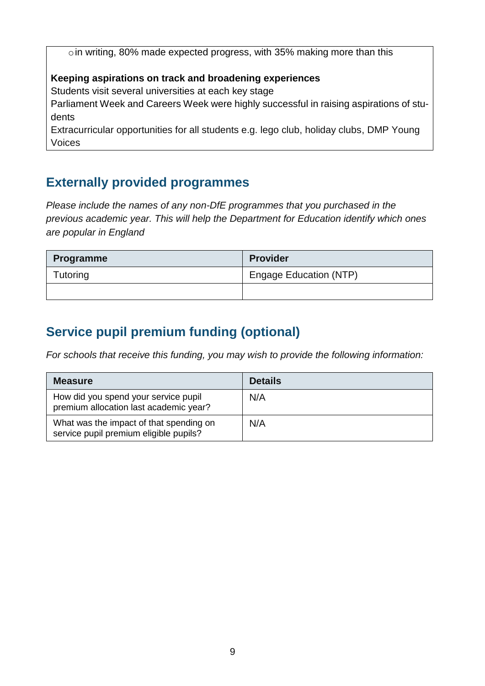oin writing, 80% made expected progress, with 35% making more than this

#### **Keeping aspirations on track and broadening experiences**

Students visit several universities at each key stage

Parliament Week and Careers Week were highly successful in raising aspirations of students

Extracurricular opportunities for all students e.g. lego club, holiday clubs, DMP Young Voices

### **Externally provided programmes**

*Please include the names of any non-DfE programmes that you purchased in the previous academic year. This will help the Department for Education identify which ones are popular in England*

| <b>Programme</b> | <b>Provider</b>               |  |
|------------------|-------------------------------|--|
| Tutoring         | <b>Engage Education (NTP)</b> |  |
|                  |                               |  |

## **Service pupil premium funding (optional)**

*For schools that receive this funding, you may wish to provide the following information:* 

| <b>Measure</b>                                                                    | <b>Details</b> |
|-----------------------------------------------------------------------------------|----------------|
| How did you spend your service pupil<br>premium allocation last academic year?    | N/A            |
| What was the impact of that spending on<br>service pupil premium eligible pupils? | N/A            |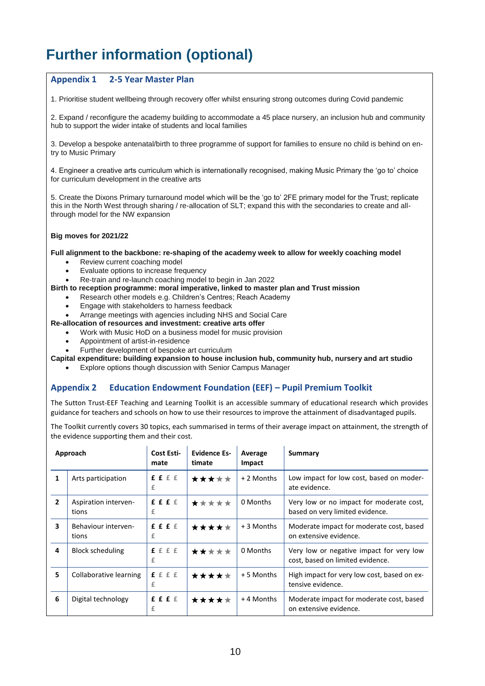# **Further information (optional)**

#### **Appendix 1 2-5 Year Master Plan**

1. Prioritise student wellbeing through recovery offer whilst ensuring strong outcomes during Covid pandemic

2. Expand / reconfigure the academy building to accommodate a 45 place nursery, an inclusion hub and community hub to support the wider intake of students and local families

3. Develop a bespoke antenatal/birth to three programme of support for families to ensure no child is behind on entry to Music Primary

4. Engineer a creative arts curriculum which is internationally recognised, making Music Primary the 'go to' choice for curriculum development in the creative arts

5. Create the Dixons Primary turnaround model which will be the 'go to' 2FE primary model for the Trust; replicate this in the North West through sharing / re-allocation of SLT; expand this with the secondaries to create and allthrough model for the NW expansion

#### **Big moves for 2021/22**

**Full alignment to the backbone: re-shaping of the academy week to allow for weekly coaching model** 

- Review current coaching model
- Evaluate options to increase frequency
- Re-train and re-launch coaching model to begin in Jan 2022
- **Birth to reception programme: moral imperative, linked to master plan and Trust mission** 
	- Research other models e.g. Children's Centres; Reach Academy
		- Engage with stakeholders to harness feedback
	- Arrange meetings with agencies including NHS and Social Care
- **Re-allocation of resources and investment: creative arts offer** 
	- Work with Music HoD on a business model for music provision
	- Appointment of artist-in-residence
	- Further development of bespoke art curriculum

**Capital expenditure: building expansion to house inclusion hub, community hub, nursery and art studio** 

Explore options though discussion with Senior Campus Manager

#### **Appendix 2 Education Endowment Foundation (EEF) – Pupil Premium Toolkit**

The Sutton Trust-EEF Teaching and Learning Toolkit is an accessible summary of educational research which provides guidance for teachers and schools on how to use their resources to improve the attainment of disadvantaged pupils.

The Toolkit currently covers 30 topics, each summarised in terms of their average impact on attainment, the strength of the evidence supporting them and their cost.

|                         | Approach                      | Cost Esti-<br>mate | <b>Evidence Es-</b><br>timate | Average<br>Impact | Summary                                                                      |
|-------------------------|-------------------------------|--------------------|-------------------------------|-------------------|------------------------------------------------------------------------------|
| 1                       | Arts participation            | f f f f<br>£       | *****                         | + 2 Months        | Low impact for low cost, based on moder-<br>ate evidence.                    |
| $\overline{2}$          | Aspiration interven-<br>tions | f f f f<br>£       | *****                         | 0 Months          | Very low or no impact for moderate cost,<br>based on very limited evidence.  |
| $\overline{\mathbf{3}}$ | Behaviour interven-<br>tions  | f f f f<br>£       | *****                         | + 3 Months        | Moderate impact for moderate cost, based<br>on extensive evidence.           |
| 4                       | <b>Block scheduling</b>       | f f f f<br>£       | *****                         | 0 Months          | Very low or negative impact for very low<br>cost, based on limited evidence. |
| 5                       | Collaborative learning        | f f f f<br>£       | *****                         | + 5 Months        | High impact for very low cost, based on ex-<br>tensive evidence.             |
| 6                       | Digital technology            | f f f f<br>£       | *****                         | +4 Months         | Moderate impact for moderate cost, based<br>on extensive evidence.           |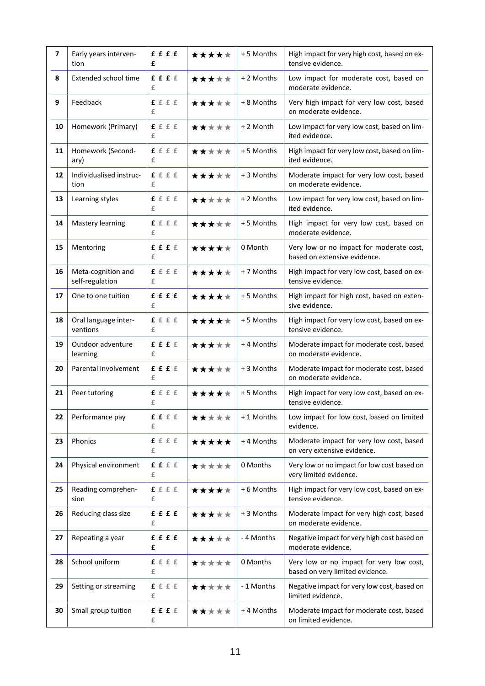| $\overline{\phantom{a}}$ | Early years interven-<br>tion         | <b>ffff</b><br>£    | ***** | +5 Months  | High impact for very high cost, based on ex-<br>tensive evidence.           |
|--------------------------|---------------------------------------|---------------------|-------|------------|-----------------------------------------------------------------------------|
| 8                        | Extended school time                  | f f f f<br>£        | ***** | + 2 Months | Low impact for moderate cost, based on<br>moderate evidence.                |
| 9                        | Feedback                              | f f f f<br>£        | ***** | + 8 Months | Very high impact for very low cost, based<br>on moderate evidence.          |
| 10                       | Homework (Primary)                    | f f f f<br>£        | ***** | + 2 Month  | Low impact for very low cost, based on lim-<br>ited evidence.               |
| 11                       | Homework (Second-<br>ary)             | f f f f<br>£        | ***** | + 5 Months | High impact for very low cost, based on lim-<br>ited evidence.              |
| 12                       | Individualised instruc-<br>tion       | ffff<br>£           | ***** | + 3 Months | Moderate impact for very low cost, based<br>on moderate evidence.           |
| 13                       | Learning styles                       | ffff<br>£           | ***** | + 2 Months | Low impact for very low cost, based on lim-<br>ited evidence.               |
| 14                       | Mastery learning                      | f f f f<br>£        | ***** | + 5 Months | High impact for very low cost, based on<br>moderate evidence.               |
| 15                       | Mentoring                             | ffff<br>£           | ***** | 0 Month    | Very low or no impact for moderate cost,<br>based on extensive evidence.    |
| 16                       | Meta-cognition and<br>self-regulation | f f f f<br>£        | ***** | + 7 Months | High impact for very low cost, based on ex-<br>tensive evidence.            |
| 17                       | One to one tuition                    | <b>ffff</b><br>£    | ***** | +5 Months  | High impact for high cost, based on exten-<br>sive evidence.                |
| 18                       | Oral language inter-<br>ventions      | ffff<br>£           | ***** | +5 Months  | High impact for very low cost, based on ex-<br>tensive evidence.            |
| 19                       | Outdoor adventure<br>learning         | ffff<br>£           | ***** | +4 Months  | Moderate impact for moderate cost, based<br>on moderate evidence.           |
| 20                       | Parental involvement                  | £ £ £ £<br>£        | ***** | +3 Months  | Moderate impact for moderate cost, based<br>on moderate evidence.           |
| 21                       | Peer tutoring                         | f f f f<br>£        | ***** | +5 Months  | High impact for very low cost, based on ex-<br>tensive evidence.            |
| 22                       | Performance pay                       | f f f f<br>£        | ***** | +1 Months  | Low impact for low cost, based on limited<br>evidence.                      |
| 23                       | Phonics                               | ffff<br>£           | ***** | +4 Months  | Moderate impact for very low cost, based<br>on very extensive evidence.     |
| 24                       | Physical environment                  | f f f f<br>£        | ***** | 0 Months   | Very low or no impact for low cost based on<br>very limited evidence.       |
| 25                       | Reading comprehen-<br>sion            | <b>f</b> f f f<br>£ | ***** | + 6 Months | High impact for very low cost, based on ex-<br>tensive evidence.            |
| 26                       | Reducing class size                   | ffff<br>£           | ***** | + 3 Months | Moderate impact for very high cost, based<br>on moderate evidence.          |
| 27                       | Repeating a year                      | <b>ffff</b><br>£    | ***** | - 4 Months | Negative impact for very high cost based on<br>moderate evidence.           |
| 28                       | School uniform                        | f f f f<br>£        | ***** | 0 Months   | Very low or no impact for very low cost,<br>based on very limited evidence. |
| 29                       | Setting or streaming                  | ffff<br>£           | ***** | - 1 Months | Negative impact for very low cost, based on<br>limited evidence.            |
| 30                       | Small group tuition                   | f f f f<br>£        | ***** | +4 Months  | Moderate impact for moderate cost, based<br>on limited evidence.            |